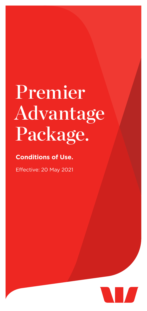# Premier Advantage Package.

## **Conditions of Use.**

Effective: 20 May 2021

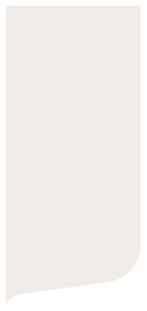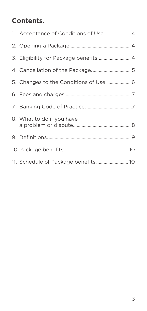# **Contents.**

| 1. Acceptance of Conditions of Use 4    |  |
|-----------------------------------------|--|
|                                         |  |
| 3. Eligibility for Package benefits 4   |  |
| 4. Cancellation of the Package 5        |  |
| 5. Changes to the Conditions of Use.  6 |  |
|                                         |  |
|                                         |  |
| 8. What to do if you have               |  |
|                                         |  |
|                                         |  |
| 11. Schedule of Package benefits.  10   |  |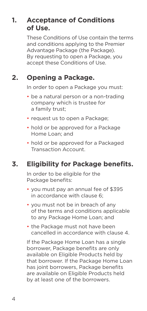## <span id="page-3-0"></span>**1. Acceptance of Conditions of Use.**

These Conditions of Use contain the terms and conditions applying to the Premier Advantage Package (the Package). By requesting to open a Package, you accept these Conditions of Use.

# **2. Opening a Package.**

In order to open a Package you must:

- be a natural person or a non-trading company which is trustee for a family trust;
- request us to open a Package;
- hold or be approved for a Package Home Loan; and
- hold or be approved for a Packaged Transaction Account.

# **3. Eligibility for Package benefits.**

In order to be eligible for the Package benefits:

- you must pay an annual fee of \$395 in accordance with clause 6;
- you must not be in breach of any of the terms and conditions applicable to any Package Home Loan; and
- the Package must not have been cancelled in accordance with clause 4.

If the Package Home Loan has a single borrower, Package benefits are only available on Eligible Products held by that borrower. If the Package Home Loan has joint borrowers, Package benefits are available on Eligible Products held by at least one of the borrowers.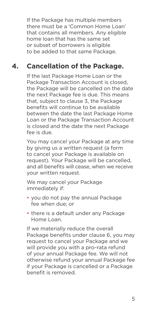<span id="page-4-0"></span>If the Package has multiple members there must be a 'Common Home Loan' that contains all members. Any eligible home loan that has the same set or subset of borrowers is eligible to be added to that same Package.

## **4. Cancellation of the Package.**

If the last Package Home Loan or the Package Transaction Account is closed, the Package will be cancelled on the date the next Package fee is due. This means that, subject to clause 3, the Package benefits will continue to be available between the date the last Package Home Loan or the Package Transaction Account is closed and the date the next Package fee is due.

You may cancel your Package at any time by giving us a written request (a form to cancel your Package is available on request). Your Package will be cancelled, and all benefits will cease, when we receive your written request.

We may cancel your Package immediately if:

- you do not pay the annual Package fee when due; or
- there is a default under any Package Home Loan.

If we materially reduce the overall Package benefits under clause 6, you may request to cancel your Package and we will provide you with a pro-rata refund of your annual Package fee. We will not otherwise refund your annual Package fee if your Package is cancelled or a Package benefit is removed.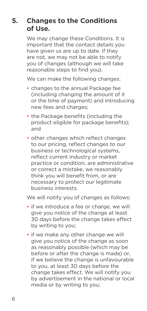## <span id="page-5-0"></span>**5. Changes to the Conditions of Use.**

We may change these Conditions. It is important that the contact details you have given us are up to date. If they are not, we may not be able to notify you of changes (although we will take reasonable steps to find you).

We can make the following changes:

- changes to the annual Package fee (including changing the amount of it or the time of payment) and introducing new fees and charges;
- the Package benefits (including the product eligible for package benefits); and
- other changes which reflect changes to our pricing, reflect changes to our business or technological systems, reflect current industry or market practice or condition, are administrative or correct a mistake, we reasonably think you will benefit from, or are necessary to protect our legitimate business interests.

We will notify you of changes as follows:

- if we introduce a fee or charge, we will give you notice of the change at least 30 days before the change takes effect by writing to you;
- if we make any other change we will give you notice of the change as soon as reasonably possible (which may be before or after the change is made) or, if we believe the change is unfavourable to you, at least 30 days before the change takes effect. We will notify you by advertisement in the national or local media or by writing to you;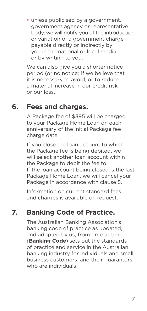<span id="page-6-0"></span>• unless publicised by a government. government agency or representative body, we will notify you of the introduction or variation of a government charge payable directly or indirectly by you in the national or local media or by writing to you.

We can also give you a shorter notice period (or no notice) if we believe that it is necessary to avoid, or to reduce, a material increase in our credit risk or our loss.

## **6. Fees and charges.**

A Package fee of \$395 will be charged to your Package Home Loan on each anniversary of the initial Package fee charge date.

If you close the loan account to which the Package fee is being debited, we will select another loan account within the Package to debit the fee to. If the loan account being closed is the last Package Home Loan, we will cancel your Package in accordance with clause 5.

Information on current standard fees and charges is available on request.

# **7. Banking Code of Practice.**

The Australian Banking Association's banking code of practice as updated, and adopted by us, from time to time (**Banking Code**) sets out the standards of practice and service in the Australian banking industry for individuals and small business customers, and their guarantors who are individuals.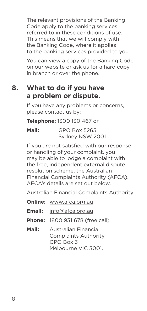<span id="page-7-0"></span>The relevant provisions of the Banking Code apply to the banking services referred to in these conditions of use. This means that we will comply with the Banking Code, where it applies to the banking services provided to you.

You can view a copy of the Banking Code on our website or ask us for a hard copy in branch or over the phone.

## **8. What to do if you have a problem or dispute.**

If you have any problems or concerns, please contact us by:

**Telephone:** 1300 130 467 or

**Mail:** GPO Box 5265 Sydney NSW 2001.

If you are not satisfied with our response or handling of your complaint, you may be able to lodge a complaint with the free, independent external dispute resolution scheme, the Australian Financial Complaints Authority (AFCA). AFCA's details are set out below.

Australian Financial Complaints Authority

|              | Online: www.afca.org.au                                                                 |
|--------------|-----------------------------------------------------------------------------------------|
|              | <b>Email:</b> $info@afca.org.au$                                                        |
|              | Phone: 1800 931 678 (free call)                                                         |
| <b>Mail:</b> | Australian Financial<br><b>Complaints Authority</b><br>GPO Box 3<br>Melbourne VIC 3001. |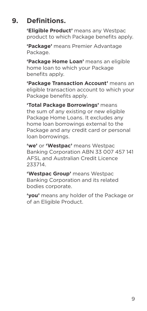# <span id="page-8-0"></span>**9. Definitions.**

**'Eligible Product'** means any Westpac product to which Package benefits apply.

**'Package'** means Premier Advantage Package.

**'Package Home Loan'** means an eligible home loan to which your Package benefits apply.

**'Package Transaction Account'** means an eligible transaction account to which your Package benefits apply.

**'Total Package Borrowings'** means the sum of any existing or new eligible Package Home Loans. It excludes any home loan borrowings external to the Package and any credit card or personal loan borrowings.

**'we'** or **'Westpac'** means Westpac Banking Corporation ABN 33 007 457 141 AFSL and Australian Credit Licence 233714.

**'Westpac Group'** means Westpac Banking Corporation and its related bodies corporate.

**'you'** means any holder of the Package or of an Eligible Product.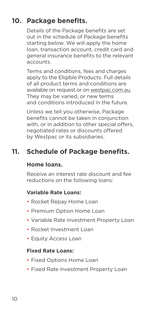# <span id="page-9-0"></span>**10. Package benefits.**

Details of the Package benefits are set out in the schedule of Package benefits starting below. We will apply the home loan, transaction account, credit card and general insurance benefits to the relevant accounts.

Terms and conditions, fees and charges apply to the Eligible Products. Full details of all product terms and conditions are available on request or on [westpac.com.au.](http://westpac.com.au) They may be varied, or new terms and conditions introduced in the future.

Unless we tell you otherwise, Package benefits cannot be taken in conjunction with, or in addition to other special offers. negotiated rates or discounts offered by Westpac or its subsidiaries.

## **11. Schedule of Package benefits.**

## **Home loans.**

Receive an interest rate discount and fee reductions on the following loans:

#### **Variable Rate Loans:**

- Rocket Repay Home Loan
- Premium Option Home Loan
- Variable Rate Investment Property Loan
- Rocket Investment Loan
- Equity Access Loan

#### **Fixed Rate Loans:**

- Fixed Options Home Loan
- Fixed Rate Investment Property Loan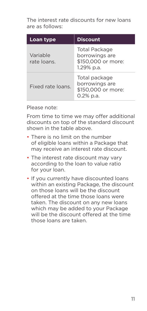The interest rate discounts for new loans are as follows:

| Loan type               | <b>Discount</b>                                                            |
|-------------------------|----------------------------------------------------------------------------|
| Variable<br>rate loans. | <b>Total Package</b><br>borrowings are<br>\$150,000 or more:<br>1.29% p.a. |
| Fixed rate loans.       | Total package<br>borrowings are<br>\$150,000 or more:<br>$0.2\%$ p.a.      |

Please note:

From time to time we may offer additional discounts on top of the standard discount shown in the table above.

- There is no limit on the number of eligible loans within a Package that may receive an interest rate discount.
- The interest rate discount may vary according to the loan to value ratio for your loan.
- If you currently have discounted loans within an existing Package, the discount on those loans will be the discount offered at the time those loans were taken. The discount on any new loans which may be added to your Package will be the discount offered at the time those loans are taken.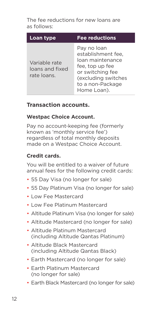The fee reductions for new loans are as follows:

| Loan type                                       | <b>Fee reductions</b>                                                                                                                                  |
|-------------------------------------------------|--------------------------------------------------------------------------------------------------------------------------------------------------------|
| Variable rate<br>loans and fixed<br>rate loans. | Pay no loan<br>establishment fee,<br>loan maintenance<br>fee, top up fee<br>or switching fee<br>(excluding switches<br>to a non-Package<br>Home Loan). |

#### **Transaction accounts.**

#### **Westpac Choice Account.**

Pay no account-keeping fee (formerly known as 'monthly service fee') regardless of total monthly deposits made on a Westpac Choice Account.

#### **Credit cards.**

You will be entitled to a waiver of future annual fees for the following credit cards:

- 55 Day Visa (no longer for sale)
- 55 Day Platinum Visa (no longer for sale)
- Low Fee Mastercard
- Low Fee Platinum Mastercard
- Altitude Platinum Visa (no longer for sale)
- Altitude Mastercard (no longer for sale)
- Altitude Platinum Mastercard (including Altitude Qantas Platinum)
- Altitude Black Mastercard (including Altitude Qantas Black)
- Earth Mastercard (no longer for sale)
- Earth Platinum Mastercard (no longer for sale)
- Earth Black Mastercard (no longer for sale)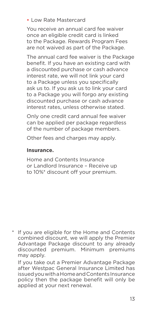• Low Rate Mastercard

You receive an annual card fee waiver once an eligible credit card is linked to the Package. Rewards Program Fees are not waived as part of the Package.

The annual card fee waiver is the Package benefit. If you have an existing card with a discounted purchase or cash advance interest rate, we will not link your card to a Package unless you specifically ask us to. If you ask us to link your card to a Package you will forgo any existing discounted purchase or cash advance interest rates, unless otherwise stated.

Only one credit card annual fee waiver can be applied per package regardless of the number of package members.

Other fees and charges may apply.

#### **Insurance.**

Home and Contents Insurance or Landlord Insurance – Receive up to 10%\* discount off your premium.

If you are eligible for the Home and Contents combined discount, we will apply the Premier Advantage Package discount to any already discounted premium. Minimum premiums may apply.

 If you take out a Premier Advantage Package after Westpac General Insurance Limited has issued you with a Home and Contents Insurance policy then the package benefit will only be applied at your next renewal.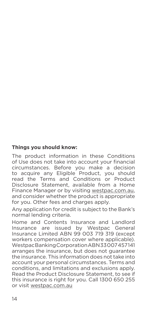## **Things you should know:**

The product information in these Conditions of Use does not take into account your financial circumstances. Before you make a decision to acquire any Eligible Product, you should read the Terms and Conditions or Product Disclosure Statement, available from a Home Finance Manager or by visiting [westpac.com.au,](http://westpac.com.au) and consider whether the product is appropriate for you. Other fees and charges apply.

Any application for credit is subject to the Bank's normal lending criteria.

Home and Contents Insurance and Landlord Insurance are issued by Westpac General Insurance Limited ABN 99 003 719 319 (except workers compensation cover where applicable). Westpac Banking Corporation ABN 33 007 457 141 arranges the insurance, but does not guarantee the insurance. This information does not take into account your personal circumstances. Terms and conditions, and limitations and exclusions apply. Read the Product Disclosure Statement, to see if this insurance is right for you. Call 1300 650 255 or visit [westpac.com.au](http://westpac.com.au)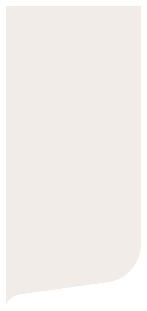